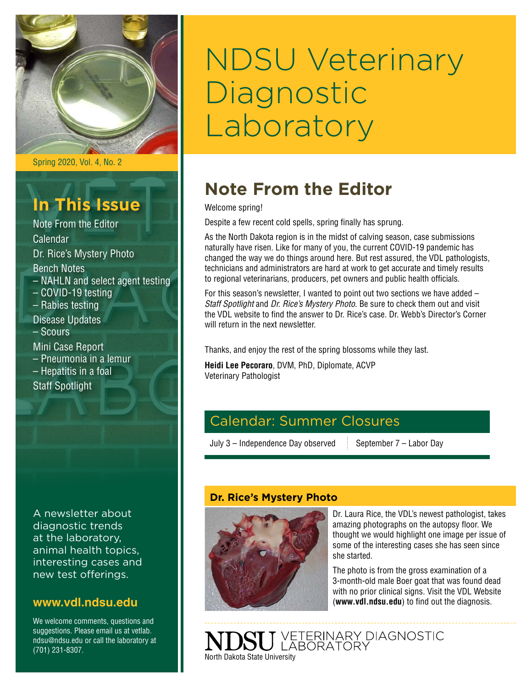

Spring 2020, Vol. 4, No. 2

## **In This Issue**

Note From the Editor Calendar Dr. Rice's Mystery Photo Bench Notes – NAHLN and select agent testing – COVID-19 testing – Rabies testing Disease Updates – Scours Mini Case Report – Pneumonia in a lemur – Hepatitis in a foal Staff Spotlight

A newsletter about diagnostic trends at the laboratory, animal health topics, interesting cases and new test offerings.

#### **[www.vdl.ndsu.edu](file:///C:\Users\david.haasser\AppData\Local\Microsoft\Windows\Temporary%20Internet%20Files\Content.Outlook\2SAH4N2J\www.ag.ndsu.edu\ansc\)**

We welcome comments, questions and suggestions. Please email us at vetlab. ndsu@ndsu.edu or call the laboratory at (701) 231-8307.

# NDSU Veterinary **Diagnostic** Laboratory

### **Note From the Editor**

Welcome spring!

Despite a few recent cold spells, spring finally has sprung.

As the North Dakota region is in the midst of calving season, case submissions naturally have risen. Like for many of you, the current COVID-19 pandemic has changed the way we do things around here. But rest assured, the VDL pathologists, technicians and administrators are hard at work to get accurate and timely results to regional veterinarians, producers, pet owners and public health officials.

For this season's newsletter, I wanted to point out two sections we have added – *Staff Spotlight* and *Dr. Rice's Mystery Photo*. Be sure to check them out and visit the VDL website to find the answer to Dr. Rice's case. Dr. Webb's Director's Corner will return in the next newsletter

Thanks, and enjoy the rest of the spring blossoms while they last.

**Heidi Lee Pecoraro**, DVM, PhD, Diplomate, ACVP Veterinary Pathologist

### Calendar: Summer Closures

July  $3$  – Independence Day observed September  $7$  – Labor Day

#### **Dr. Rice's Mystery Photo**



Dr. Laura Rice, the VDL's newest pathologist, takes amazing photographs on the autopsy floor. We thought we would highlight one image per issue of some of the interesting cases she has seen since she started.

The photo is from the gross examination of a 3-month-old male Boer goat that was found dead with no prior clinical signs. Visit the VDL Website (**[www.vdl.ndsu.edu](http://www.vdl.ndsu.edu)**) to find out the diagnosis.

VETERINARY DIAGNOSTIC<br>LABORATORY North Dakota State University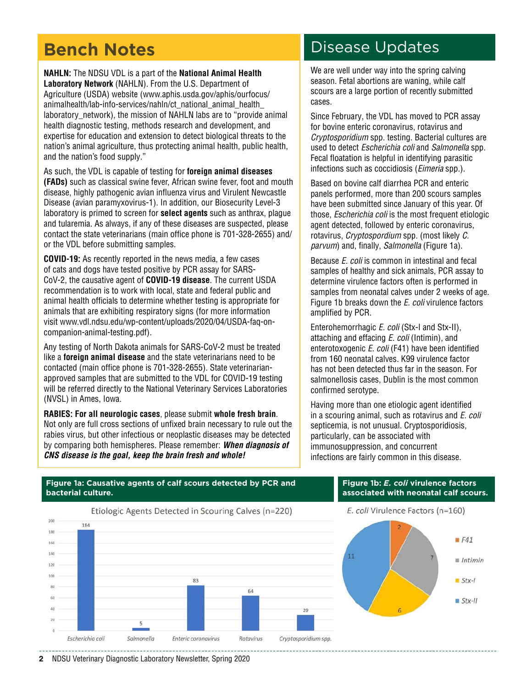### **Bench Notes**

**NAHLN:** The NDSU VDL is a part of the **National Animal Health Laboratory Network** (NAHLN). From the U.S. Department of Agriculture (USDA) website ([www.aphis.usda.gov/aphis/ourfocus/](http://www.aphis.usda.gov/aphis/ourfocus/animalhealth/lab-info-services/nahln/ct_national_animal_health_laboratory_network) [animalhealth/lab-info-services/nahln/ct\\_national\\_animal\\_health\\_](http://www.aphis.usda.gov/aphis/ourfocus/animalhealth/lab-info-services/nahln/ct_national_animal_health_laboratory_network) laboratory network), the mission of NAHLN labs are to "provide animal health diagnostic testing, methods research and development, and expertise for education and extension to detect biological threats to the nation's animal agriculture, thus protecting animal health, public health, and the nation's food supply."

As such, the VDL is capable of testing for **foreign animal diseases (FADs)** such as classical swine fever, African swine fever, foot and mouth disease, highly pathogenic avian influenza virus and Virulent Newcastle Disease (avian paramyxovirus-1). In addition, our Biosecurity Level-3 laboratory is primed to screen for **select agents** such as anthrax, plague and tularemia. As always, if any of these diseases are suspected, please contact the state veterinarians (main office phone is 701-328-2655) and/ or the VDL before submitting samples.

**COVID-19:** As recently reported in the news media, a few cases of cats and dogs have tested positive by PCR assay for SARS-CoV-2, the causative agent of **COVID-19 disease**. The current USDA recommendation is to work with local, state and federal public and animal health officials to determine whether testing is appropriate for animals that are exhibiting respiratory signs (for more information visit [www.vdl.ndsu.edu/wp-content/uploads/2020/04/USDA-faq-on](http://www.vdl.ndsu.edu/wp-content/uploads/2020/04/USDA-faq-on-companion-animal-testing.pdf)[companion-animal-testing.pdf\)](http://www.vdl.ndsu.edu/wp-content/uploads/2020/04/USDA-faq-on-companion-animal-testing.pdf).

Any testing of North Dakota animals for SARS-CoV-2 must be treated like a **foreign animal disease** and the state veterinarians need to be contacted (main office phone is 701-328-2655). State veterinarianapproved samples that are submitted to the VDL for COVID-19 testing will be referred directly to the National Veterinary Services Laboratories (NVSL) in Ames, Iowa.

**RABIES: For all neurologic cases**, please submit **whole fresh brain**. Not only are full cross sections of unfixed brain necessary to rule out the rabies virus, but other infectious or neoplastic diseases may be detected by comparing both hemispheres. Please remember: *When diagnosis of CNS disease is the goal, keep the brain fresh and whole!*

### Disease Updates

We are well under way into the spring calving season. Fetal abortions are waning, while calf scours are a large portion of recently submitted cases.

Since February, the VDL has moved to PCR assay for bovine enteric coronavirus, rotavirus and *Cryptosporidium* spp. testing. Bacterial cultures are used to detect *Escherichia coli* and *Salmonella* spp. Fecal floatation is helpful in identifying parasitic infections such as coccidiosis (*Eimeria* spp.).

Based on bovine calf diarrhea PCR and enteric panels performed, more than 200 scours samples have been submitted since January of this year. Of those, *Escherichia coli* is the most frequent etiologic agent detected, followed by enteric coronavirus, rotavirus, *Cryptospordium* spp. (most likely *C. parvum*) and, finally, *Salmonella* (Figure 1a).

Because *E. coli* is common in intestinal and fecal samples of healthy and sick animals, PCR assay to determine virulence factors often is performed in samples from neonatal calves under 2 weeks of age. Figure 1b breaks down the *E. coli* virulence factors amplified by PCR.

Enterohemorrhagic *E. coli* (Stx-I and Stx-II), attaching and effacing *E. coli* (Intimin), and enterotoxogenic *E. coli* (F41) have been identified from 160 neonatal calves. K99 virulence factor has not been detected thus far in the season. For salmonellosis cases, Dublin is the most common confirmed serotype.

Having more than one etiologic agent identified in a scouring animal, such as rotavirus and *E. coli*  septicemia, is not unusual. Cryptosporidiosis, particularly, can be associated with immunosuppression, and concurrent infections are fairly common in this disease.



#### **Figure 1a: Causative agents of calf scours detected by PCR and bacterial culture.**

E. coli Virulence Factors (n=160)

**Figure 1b:** *E. coli* **virulence factors associated with neonatal calf scours.**



**2** NDSU Veterinary Diagnostic Laboratory Newsletter, Spring 2020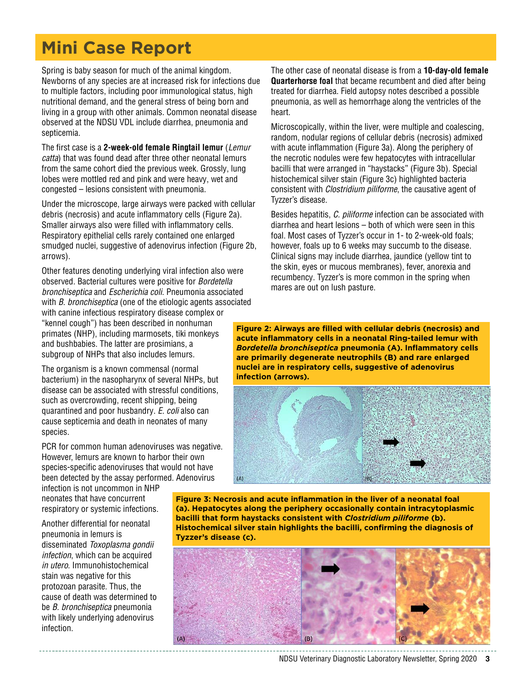## **Mini Case Report**

Spring is baby season for much of the animal kingdom. Newborns of any species are at increased risk for infections due to multiple factors, including poor immunological status, high nutritional demand, and the general stress of being born and living in a group with other animals. Common neonatal disease observed at the NDSU VDL include diarrhea, pneumonia and septicemia.

The first case is a **2-week-old female Ringtail lemur** (*Lemur catta*) that was found dead after three other neonatal lemurs from the same cohort died the previous week. Grossly, lung lobes were mottled red and pink and were heavy, wet and congested – lesions consistent with pneumonia.

Under the microscope, large airways were packed with cellular debris (necrosis) and acute inflammatory cells (Figure 2a). Smaller airways also were filled with inflammatory cells. Respiratory epithelial cells rarely contained one enlarged smudged nuclei, suggestive of adenovirus infection (Figure 2b, arrows).

Other features denoting underlying viral infection also were observed. Bacterial cultures were positive for *Bordetella bronchiseptica* and *Escherichia coli*. Pneumonia associated with *B. bronchiseptica* (one of the etiologic agents associated with canine infectious respiratory disease complex or "kennel cough") has been described in nonhuman primates (NHP), including marmosets, tiki monkeys and bushbabies. The latter are prosimians, a subgroup of NHPs that also includes lemurs.

The organism is a known commensal (normal bacterium) in the nasopharynx of several NHPs, but disease can be associated with stressful conditions, such as overcrowding, recent shipping, being quarantined and poor husbandry. *E. coli* also can cause septicemia and death in neonates of many species.

PCR for common human adenoviruses was negative. However, lemurs are known to harbor their own species-specific adenoviruses that would not have been detected by the assay performed. Adenovirus

infection is not uncommon in NHP neonates that have concurrent respiratory or systemic infections.

Another differential for neonatal pneumonia in lemurs is disseminated *Toxoplasma gondii infection*, which can be acquired *in utero*. Immunohistochemical stain was negative for this protozoan parasite. Thus, the cause of death was determined to be *B. bronchiseptica* pneumonia with likely underlying adenovirus infection.

The other case of neonatal disease is from a **10-day-old female Quarterhorse foal** that became recumbent and died after being treated for diarrhea. Field autopsy notes described a possible pneumonia, as well as hemorrhage along the ventricles of the heart.

Microscopically, within the liver, were multiple and coalescing, random, nodular regions of cellular debris (necrosis) admixed with acute inflammation (Figure 3a). Along the periphery of the necrotic nodules were few hepatocytes with intracellular bacilli that were arranged in "haystacks" (Figure 3b). Special histochemical silver stain (Figure 3c) highlighted bacteria consistent with *Clostridium piliforme*, the causative agent of Tyzzer's disease.

Besides hepatitis, *C. piliforme* infection can be associated with diarrhea and heart lesions – both of which were seen in this foal. Most cases of Tyzzer's occur in 1- to 2-week-old foals; however, foals up to 6 weeks may succumb to the disease. Clinical signs may include diarrhea, jaundice (yellow tint to the skin, eyes or mucous membranes), fever, anorexia and recumbency. Tyzzer's is more common in the spring when mares are out on lush pasture.

**Figure 2: Airways are filled with cellular debris (necrosis) and acute inflammatory cells in a neonatal Ring-tailed lemur with**  *Bordetella bronchiseptica* **pneumonia (A). Inflammatory cells are primarily degenerate neutrophils (B) and rare enlarged nuclei are in respiratory cells, suggestive of adenovirus infection (arrows).**



**Figure 3: Necrosis and acute inflammation in the liver of a neonatal foal (a). Hepatocytes along the periphery occasionally contain intracytoplasmic bacilli that form haystacks consistent with** *Clostridium piliforme* **(b). Histochemical silver stain highlights the bacilli, confirming the diagnosis of Tyzzer's disease (c).**